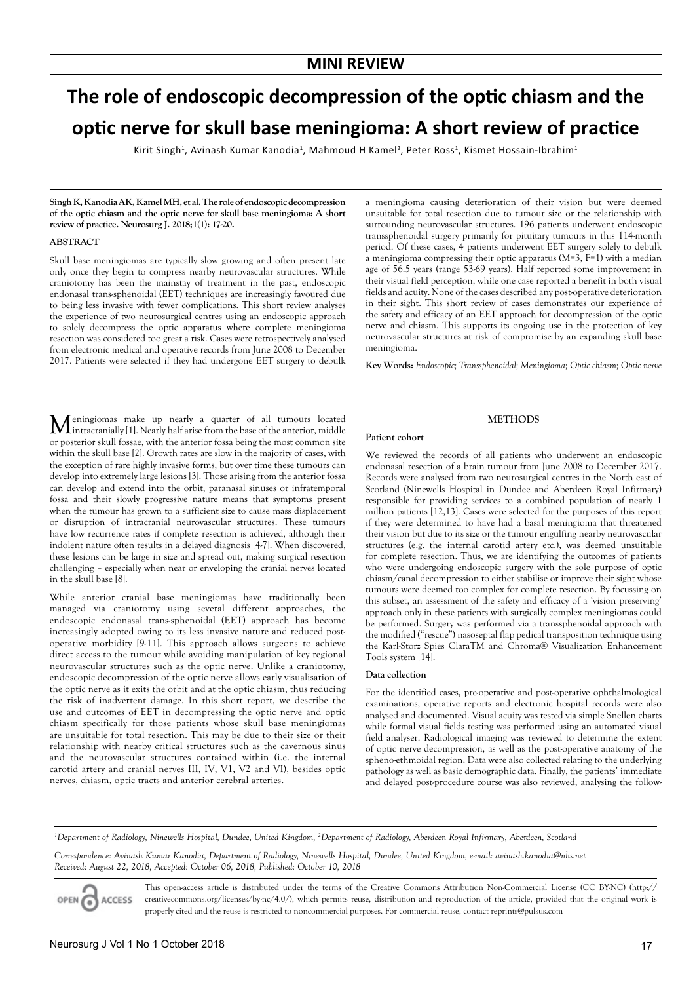# **The role of endoscopic decompression of the optic chiasm and the optic nerve for skull base meningioma: A short review of practice**

Kirit Singh<sup>1</sup>, Avinash Kumar Kanodia<sup>1</sup>, Mahmoud H Kamel<sup>2</sup>, Peter Ross<sup>1</sup>, Kismet Hossain-Ibrahim<sup>1</sup>

**Singh K, Kanodia AK, Kamel MH, et al. The role of endoscopic decompression of the optic chiasm and the optic nerve for skull base meningioma: A short review of practice. Neurosurg J. 2018;1(1): 17-20.**

#### **ABSTRACT**

Skull base meningiomas are typically slow growing and often present late only once they begin to compress nearby neurovascular structures. While craniotomy has been the mainstay of treatment in the past, endoscopic endonasal trans-sphenoidal (EET) techniques are increasingly favoured due to being less invasive with fewer complications. This short review analyses the experience of two neurosurgical centres using an endoscopic approach to solely decompress the optic apparatus where complete meningioma resection was considered too great a risk. Cases were retrospectively analysed from electronic medical and operative records from June 2008 to December 2017. Patients were selected if they had undergone EET surgery to debulk

Meningiomas make up nearly a quarter of all tumours located intracranially [1]. Nearly half arise from the base of the anterior, middle or posterior skull fossae, with the anterior fossa being the most common site within the skull base [2]. Growth rates are slow in the majority of cases, with the exception of rare highly invasive forms, but over time these tumours can develop into extremely large lesions [3]. Those arising from the anterior fossa can develop and extend into the orbit, paranasal sinuses or infratemporal fossa and their slowly progressive nature means that symptoms present when the tumour has grown to a sufficient size to cause mass displacement or disruption of intracranial neurovascular structures. These tumours have low recurrence rates if complete resection is achieved, although their indolent nature often results in a delayed diagnosis [4-7]. When discovered, these lesions can be large in size and spread out, making surgical resection challenging – especially when near or enveloping the cranial nerves located in the skull base [8].

While anterior cranial base meningiomas have traditionally been managed via craniotomy using several different approaches, the endoscopic endonasal trans-sphenoidal (EET) approach has become increasingly adopted owing to its less invasive nature and reduced postoperative morbidity [9-11]. This approach allows surgeons to achieve direct access to the tumour while avoiding manipulation of key regional neurovascular structures such as the optic nerve. Unlike a craniotomy, endoscopic decompression of the optic nerve allows early visualisation of the optic nerve as it exits the orbit and at the optic chiasm, thus reducing the risk of inadvertent damage. In this short report, we describe the use and outcomes of EET in decompressing the optic nerve and optic chiasm specifically for those patients whose skull base meningiomas are unsuitable for total resection. This may be due to their size or their relationship with nearby critical structures such as the cavernous sinus and the neurovascular structures contained within (i.e. the internal carotid artery and cranial nerves III, IV, V1, V2 and VI), besides optic nerves, chiasm, optic tracts and anterior cerebral arteries.

a meningioma causing deterioration of their vision but were deemed unsuitable for total resection due to tumour size or the relationship with surrounding neurovascular structures. 196 patients underwent endoscopic transsphenoidal surgery primarily for pituitary tumours in this 114-month period. Of these cases, 4 patients underwent EET surgery solely to debulk a meningioma compressing their optic apparatus (M=3, F=1) with a median age of 56.5 years (range 53-69 years). Half reported some improvement in their visual field perception, while one case reported a benefit in both visual fields and acuity. None of the cases described any post-operative deterioration in their sight. This short review of cases demonstrates our experience of the safety and efficacy of an EET approach for decompression of the optic nerve and chiasm. This supports its ongoing use in the protection of key neurovascular structures at risk of compromise by an expanding skull base meningioma.

**Key Words:** *Endoscopic; Transsphenoidal; Meningioma; Optic chiasm; Optic nerve*

## **METHODS**

#### **Patient cohort**

We reviewed the records of all patients who underwent an endoscopic endonasal resection of a brain tumour from June 2008 to December 2017. Records were analysed from two neurosurgical centres in the North east of Scotland (Ninewells Hospital in Dundee and Aberdeen Royal Infirmary) responsible for providing services to a combined population of nearly 1 million patients [12,13]. Cases were selected for the purposes of this report if they were determined to have had a basal meningioma that threatened their vision but due to its size or the tumour engulfing nearby neurovascular structures (e.g. the internal carotid artery etc.), was deemed unsuitable for complete resection. Thus, we are identifying the outcomes of patients who were undergoing endoscopic surgery with the sole purpose of optic chiasm/canal decompression to either stabilise or improve their sight whose tumours were deemed too complex for complete resection. By focussing on this subset, an assessment of the safety and efficacy of a 'vision preserving' approach only in these patients with surgically complex meningiomas could be performed. Surgery was performed via a transsphenoidal approach with the modified ("rescue") nasoseptal flap pedical transposition technique using the Karl-Storz Spies ClaraTM and Chroma® Visualization Enhancement Tools system [14].

#### **Data collection**

For the identified cases, pre-operative and post-operative ophthalmological examinations, operative reports and electronic hospital records were also analysed and documented. Visual acuity was tested via simple Snellen charts while formal visual fields testing was performed using an automated visual field analyser. Radiological imaging was reviewed to determine the extent of optic nerve decompression, as well as the post-operative anatomy of the spheno-ethmoidal region. Data were also collected relating to the underlying pathology as well as basic demographic data. Finally, the patients' immediate and delayed post-procedure course was also reviewed, analysing the follow-

*1 Department of Radiology, Ninewells Hospital, Dundee, United Kingdom, 2 Department of Radiology, Aberdeen Royal Infirmary, Aberdeen, Scotland*

*Correspondence: Avinash Kumar Kanodia, Department of Radiology, Ninewells Hospital, Dundee, United Kingdom, e-mail: avinash.kanodia@nhs.net Received: August 22, 2018, Accepted: October 06, 2018, Published: October 10, 2018*



This open-access article is distributed under the terms of the Creative Commons Attribution Non-Commercial License (CC BY-NC) (http:// creativecommons.org/licenses/by-nc/4.0/), which permits reuse, distribution and reproduction of the article, provided that the original work is properly cited and the reuse is restricted to noncommercial purposes. For commercial reuse, contact reprints@pulsus.com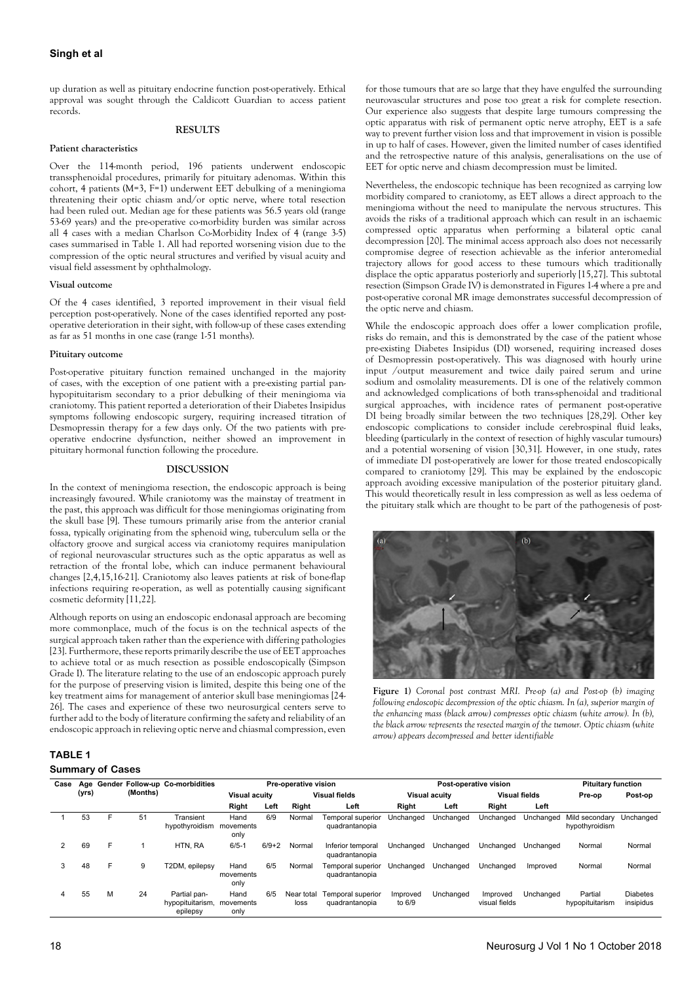## **Singh et al**

up duration as well as pituitary endocrine function post-operatively. Ethical approval was sought through the Caldicott Guardian to access patient records.

#### **RESULTS**

#### **Patient characteristics**

Over the 114-month period, 196 patients underwent endoscopic transsphenoidal procedures, primarily for pituitary adenomas. Within this cohort, 4 patients (M=3, F=1) underwent EET debulking of a meningioma threatening their optic chiasm and/or optic nerve, where total resection had been ruled out. Median age for these patients was 56.5 years old (range 53-69 years) and the pre-operative co-morbidity burden was similar across all 4 cases with a median Charlson Co-Morbidity Index of 4 (range 3-5) cases summarised in Table 1. All had reported worsening vision due to the compression of the optic neural structures and verified by visual acuity and visual field assessment by ophthalmology.

#### **Visual outcome**

Of the 4 cases identified, 3 reported improvement in their visual field perception post-operatively. None of the cases identified reported any postoperative deterioration in their sight, with follow-up of these cases extending as far as 51 months in one case (range 1-51 months).

#### **Pituitary outcome**

Post-operative pituitary function remained unchanged in the majority of cases, with the exception of one patient with a pre-existing partial panhypopituitarism secondary to a prior debulking of their meningioma via craniotomy. This patient reported a deterioration of their Diabetes Insipidus symptoms following endoscopic surgery, requiring increased titration of Desmopressin therapy for a few days only. Of the two patients with preoperative endocrine dysfunction, neither showed an improvement in pituitary hormonal function following the procedure.

#### **DISCUSSION**

In the context of meningioma resection, the endoscopic approach is being increasingly favoured. While craniotomy was the mainstay of treatment in the past, this approach was difficult for those meningiomas originating from the skull base [9]. These tumours primarily arise from the anterior cranial fossa, typically originating from the sphenoid wing, tuberculum sella or the olfactory groove and surgical access via craniotomy requires manipulation of regional neurovascular structures such as the optic apparatus as well as retraction of the frontal lobe, which can induce permanent behavioural changes [2,4,15,16-21]. Craniotomy also leaves patients at risk of bone-flap infections requiring re-operation, as well as potentially causing significant cosmetic deformity [11,22].

Although reports on using an endoscopic endonasal approach are becoming more commonplace, much of the focus is on the technical aspects of the surgical approach taken rather than the experience with differing pathologies [23]. Furthermore, these reports primarily describe the use of EET approaches to achieve total or as much resection as possible endoscopically (Simpson Grade I). The literature relating to the use of an endoscopic approach purely for the purpose of preserving vision is limited, despite this being one of the key treatment aims for management of anterior skull base meningiomas [24- 26]. The cases and experience of these two neurosurgical centers serve to further add to the body of literature confirming the safety and reliability of an endoscopic approach in relieving optic nerve and chiasmal compression, even

## neurovascular structures and pose too great a risk for complete resection. Our experience also suggests that despite large tumours compressing the optic apparatus with risk of permanent optic nerve atrophy, EET is a safe way to prevent further vision loss and that improvement in vision is possible in up to half of cases. However, given the limited number of cases identified and the retrospective nature of this analysis, generalisations on the use of EET for optic nerve and chiasm decompression must be limited.

for those tumours that are so large that they have engulfed the surrounding

Nevertheless, the endoscopic technique has been recognized as carrying low morbidity compared to craniotomy, as EET allows a direct approach to the meningioma without the need to manipulate the nervous structures. This avoids the risks of a traditional approach which can result in an ischaemic compressed optic apparatus when performing a bilateral optic canal decompression [20]. The minimal access approach also does not necessarily compromise degree of resection achievable as the inferior anteromedial trajectory allows for good access to these tumours which traditionally displace the optic apparatus posteriorly and superiorly [15,27]. This subtotal resection (Simpson Grade IV) is demonstrated in Figures 1-4 where a pre and post-operative coronal MR image demonstrates successful decompression of the optic nerve and chiasm.

While the endoscopic approach does offer a lower complication profile, risks do remain, and this is demonstrated by the case of the patient whose pre-existing Diabetes Insipidus (DI) worsened, requiring increased doses of Desmopressin post-operatively. This was diagnosed with hourly urine input /output measurement and twice daily paired serum and urine sodium and osmolality measurements. DI is one of the relatively common and acknowledged complications of both trans-sphenoidal and traditional surgical approaches, with incidence rates of permanent post-operative DI being broadly similar between the two techniques [28,29]. Other key endoscopic complications to consider include cerebrospinal fluid leaks, bleeding (particularly in the context of resection of highly vascular tumours) and a potential worsening of vision [30,31]. However, in one study, rates of immediate DI post-operatively are lower for those treated endoscopically compared to craniotomy [29]. This may be explained by the endoscopic approach avoiding excessive manipulation of the posterior pituitary gland. This would theoretically result in less compression as well as less oedema of the pituitary stalk which are thought to be part of the pathogenesis of post-



**Figure 1)** *Coronal post contrast MRI. Pre-op (a) and Post-op (b) imaging following endoscopic decompression of the optic chiasm. In (a), superior margin of the enhancing mass (black arrow) compresses optic chiasm (white arrow). In (b), the black arrow represents the resected margin of the tumour. Optic chiasm (white arrow) appears decompressed and better identifiable*

## **TABLE 1**

## **Summary of Cases**

| Case | (yrs) |    | (Months) | Age Gender Follow-up Co-morbidities          | Pre-operative vision      |         |                      |                                     | Post-operative vision |           |                           |           | <b>Pituitary function</b>        |                              |
|------|-------|----|----------|----------------------------------------------|---------------------------|---------|----------------------|-------------------------------------|-----------------------|-----------|---------------------------|-----------|----------------------------------|------------------------------|
|      |       |    |          |                                              | <b>Visual acuity</b>      |         | <b>Visual fields</b> |                                     | <b>Visual acuity</b>  |           | <b>Visual fields</b>      |           | Pre-op                           | Post-op                      |
|      |       |    |          |                                              | Right                     | Left    | Right                | Left                                | Right                 | Left      | Right                     | Left      |                                  |                              |
|      | 53    | F. | 51       | Transient<br>hypothyroidism                  | Hand<br>movements<br>only | 6/9     | Normal               | Temporal superior<br>quadrantanopia | Unchanged             | Unchanged | Unchanged                 | Unchanged | Mild secondary<br>hypothyroidism | Unchanged                    |
| 2    | 69    | F  |          | HTN, RA                                      | $6/5 - 1$                 | $6/9+2$ | Normal               | Inferior temporal<br>quadrantanopia | Unchanged             | Unchanged | Unchanged                 | Unchanged | Normal                           | Normal                       |
| 3    | 48    | F  | 9        | <b>T2DM, epilepsy</b>                        | Hand<br>movements<br>only | 6/5     | Normal               | Temporal superior<br>quadrantanopia | Unchanged             | Unchanged | Unchanged                 | Improved  | Normal                           | Normal                       |
| 4    | 55    | M  | 24       | Partial pan-<br>hypopituitarism,<br>epilepsy | Hand<br>movements<br>only | 6/5     | Near total<br>loss   | Temporal superior<br>quadrantanopia | Improved<br>to 6/9    | Unchanged | Improved<br>visual fields | Unchanged | Partial<br>hypopituitarism       | <b>Diabetes</b><br>insipidus |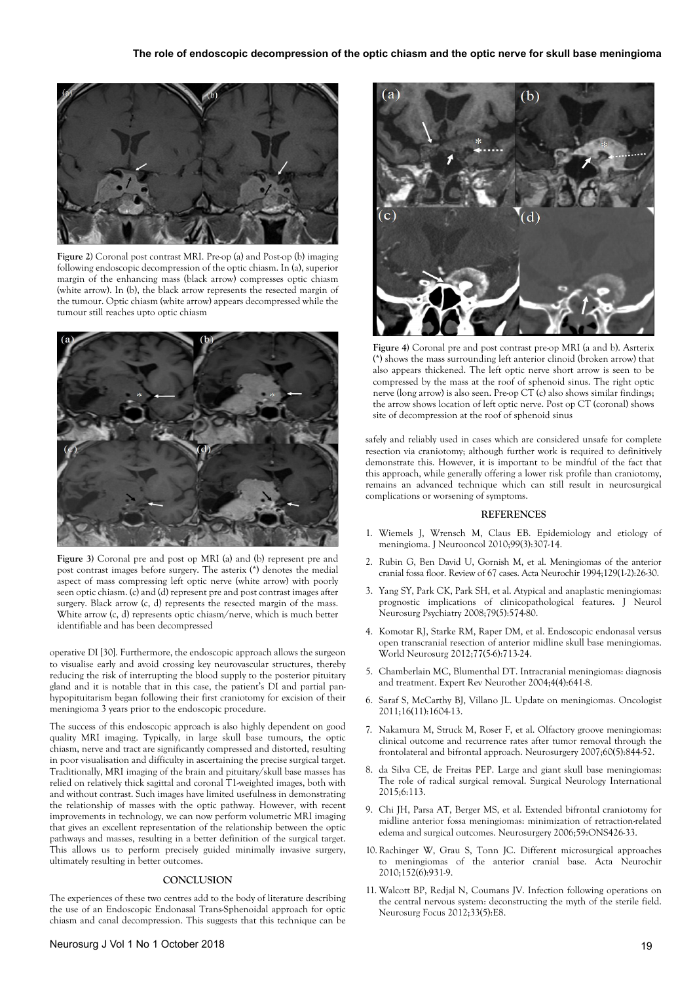

**Figure 2)** Coronal post contrast MRI. Pre-op (a) and Post-op (b) imaging following endoscopic decompression of the optic chiasm. In (a), superior margin of the enhancing mass (black arrow) compresses optic chiasm (white arrow). In (b), the black arrow represents the resected margin of the tumour. Optic chiasm (white arrow) appears decompressed while the tumour still reaches upto optic chiasm



**Figure 3)** Coronal pre and post op MRI (a) and (b) represent pre and post contrast images before surgery. The asterix (\*) denotes the medial aspect of mass compressing left optic nerve (white arrow) with poorly seen optic chiasm. (c) and (d) represent pre and post contrast images after surgery. Black arrow (c, d) represents the resected margin of the mass. White arrow (c, d) represents optic chiasm/nerve, which is much better identifiable and has been decompressed

operative DI [30]. Furthermore, the endoscopic approach allows the surgeon to visualise early and avoid crossing key neurovascular structures, thereby reducing the risk of interrupting the blood supply to the posterior pituitary gland and it is notable that in this case, the patient's DI and partial panhypopituitarism began following their first craniotomy for excision of their meningioma 3 years prior to the endoscopic procedure.

The success of this endoscopic approach is also highly dependent on good quality MRI imaging. Typically, in large skull base tumours, the optic chiasm, nerve and tract are significantly compressed and distorted, resulting in poor visualisation and difficulty in ascertaining the precise surgical target. Traditionally, MRI imaging of the brain and pituitary/skull base masses has relied on relatively thick sagittal and coronal T1-weighted images, both with and without contrast. Such images have limited usefulness in demonstrating the relationship of masses with the optic pathway. However, with recent improvements in technology, we can now perform volumetric MRI imaging that gives an excellent representation of the relationship between the optic pathways and masses, resulting in a better definition of the surgical target. This allows us to perform precisely guided minimally invasive surgery, ultimately resulting in better outcomes.

#### **CONCLUSION**

The experiences of these two centres add to the body of literature describing the use of an Endoscopic Endonasal Trans-Sphenoidal approach for optic chiasm and canal decompression. This suggests that this technique can be



**Figure 4)** Coronal pre and post contrast pre-op MRI (a and b). Asrterix (\*) shows the mass surrounding left anterior clinoid (broken arrow) that also appears thickened. The left optic nerve short arrow is seen to be compressed by the mass at the roof of sphenoid sinus. The right optic nerve (long arrow) is also seen. Pre-op CT (c) also shows similar findings; the arrow shows location of left optic nerve. Post op CT (coronal) shows site of decompression at the roof of sphenoid sinus

safely and reliably used in cases which are considered unsafe for complete resection via craniotomy; although further work is required to definitively demonstrate this. However, it is important to be mindful of the fact that this approach, while generally offering a lower risk profile than craniotomy, remains an advanced technique which can still result in neurosurgical complications or worsening of symptoms.

#### **REFERENCES**

- 1. Wiemels J, Wrensch M, Claus EB. Epidemiology and etiology of meningioma. J Neurooncol 2010;99(3):307-14.
- 2. Rubin G, Ben David U, Gornish M, et al. Meningiomas of the anterior cranial fossa floor. Review of 67 cases. Acta Neurochir 1994;129(1-2):26-30.
- 3. Yang SY, Park CK, Park SH, et al. Atypical and anaplastic meningiomas: prognostic implications of clinicopathological features. J Neurol Neurosurg Psychiatry 2008;79(5):574-80.
- 4. Komotar RJ, Starke RM, Raper DM, et al. Endoscopic endonasal versus open transcranial resection of anterior midline skull base meningiomas. World Neurosurg 2012;77(5-6):713-24.
- 5. Chamberlain MC, Blumenthal DT. Intracranial meningiomas: diagnosis and treatment. Expert Rev Neurother 2004;4(4):641-8.
- 6. Saraf S, McCarthy BJ, Villano JL. Update on meningiomas. Oncologist 2011;16(11):1604-13.
- 7. Nakamura M, Struck M, Roser F, et al. Olfactory groove meningiomas: clinical outcome and recurrence rates after tumor removal through the frontolateral and bifrontal approach. Neurosurgery 2007;60(5):844-52.
- 8. da Silva CE, de Freitas PEP. Large and giant skull base meningiomas: The role of radical surgical removal. Surgical Neurology International 2015;6:113.
- 9. Chi JH, Parsa AT, Berger MS, et al. Extended bifrontal craniotomy for midline anterior fossa meningiomas: minimization of retraction-related edema and surgical outcomes. Neurosurgery 2006;59:ONS426-33.
- 10.Rachinger W, Grau S, Tonn JC. Different microsurgical approaches to meningiomas of the anterior cranial base. Acta Neurochir 2010;152(6):931-9.
- 11. Walcott BP, Redjal N, Coumans JV. Infection following operations on the central nervous system: deconstructing the myth of the sterile field. Neurosurg Focus 2012;33(5):E8.